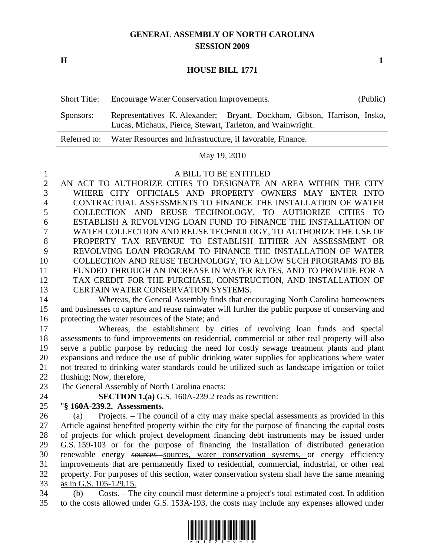# **GENERAL ASSEMBLY OF NORTH CAROLINA SESSION 2009**

**H** 1

### **HOUSE BILL 1771**

| <b>Short Title:</b> | Encourage Water Conservation Improvements.                                                                                            | (Public) |  |
|---------------------|---------------------------------------------------------------------------------------------------------------------------------------|----------|--|
| Sponsors:           | Representatives K. Alexander; Bryant, Dockham, Gibson, Harrison, Insko,<br>Lucas, Michaux, Pierce, Stewart, Tarleton, and Wainwright. |          |  |
|                     | Referred to: Water Resources and Infrastructure, if favorable, Finance.                                                               |          |  |

### May 19, 2010

#### 1 A BILL TO BE ENTITLED

2 AN ACT TO AUTHORIZE CITIES TO DESIGNATE AN AREA WITHIN THE CITY 3 WHERE CITY OFFICIALS AND PROPERTY OWNERS MAY ENTER INTO 4 CONTRACTUAL ASSESSMENTS TO FINANCE THE INSTALLATION OF WATER 5 COLLECTION AND REUSE TECHNOLOGY, TO AUTHORIZE CITIES TO 6 ESTABLISH A REVOLVING LOAN FUND TO FINANCE THE INSTALLATION OF 7 WATER COLLECTION AND REUSE TECHNOLOGY, TO AUTHORIZE THE USE OF 8 PROPERTY TAX REVENUE TO ESTABLISH EITHER AN ASSESSMENT OR 9 REVOLVING LOAN PROGRAM TO FINANCE THE INSTALLATION OF WATER 10 COLLECTION AND REUSE TECHNOLOGY, TO ALLOW SUCH PROGRAMS TO BE 11 FUNDED THROUGH AN INCREASE IN WATER RATES, AND TO PROVIDE FOR A 12 TAX CREDIT FOR THE PURCHASE, CONSTRUCTION, AND INSTALLATION OF 13 CERTAIN WATER CONSERVATION SYSTEMS.

14 Whereas, the General Assembly finds that encouraging North Carolina homeowners 15 and businesses to capture and reuse rainwater will further the public purpose of conserving and 16 protecting the water resources of the State; and

17 Whereas, the establishment by cities of revolving loan funds and special 18 assessments to fund improvements on residential, commercial or other real property will also 19 serve a public purpose by reducing the need for costly sewage treatment plants and plant 20 expansions and reduce the use of public drinking water supplies for applications where water 21 not treated to drinking water standards could be utilized such as landscape irrigation or toilet 22 flushing; Now, therefore,

23 The General Assembly of North Carolina enacts:

24 **SECTION 1.(a)** G.S. 160A-239.2 reads as rewritten:

## 25 "**§ 160A-239.2. Assessments.**

26 (a) Projects. – The council of a city may make special assessments as provided in this 27 Article against benefited property within the city for the purpose of financing the capital costs 28 of projects for which project development financing debt instruments may be issued under 29 G.S. 159-103 or for the purpose of financing the installation of distributed generation 30 renewable energy sources sources, water conservation systems, or energy efficiency 31 improvements that are permanently fixed to residential, commercial, industrial, or other real 32 property. For purposes of this section, water conservation system shall have the same meaning 33 as in G.S. 105-129.15.

34 (b) Costs. – The city council must determine a project's total estimated cost. In addition 35 to the costs allowed under G.S. 153A-193, the costs may include any expenses allowed under

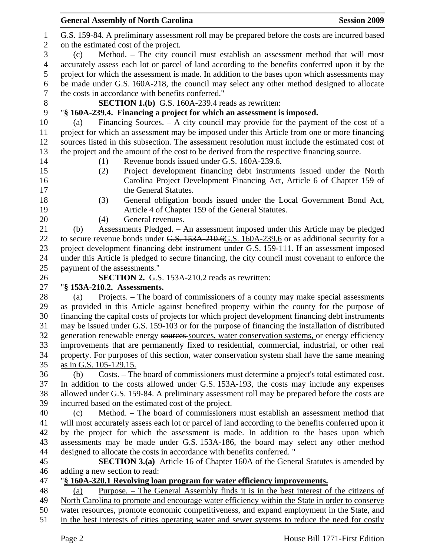|              | <b>General Assembly of North Carolina</b><br><b>Session 2009</b>                                   |  |  |  |  |
|--------------|----------------------------------------------------------------------------------------------------|--|--|--|--|
| $\mathbf{1}$ | G.S. 159-84. A preliminary assessment roll may be prepared before the costs are incurred based     |  |  |  |  |
| $\mathbf{2}$ | on the estimated cost of the project.                                                              |  |  |  |  |
| 3            | Method. - The city council must establish an assessment method that will most<br>(c)               |  |  |  |  |
| 4            | accurately assess each lot or parcel of land according to the benefits conferred upon it by the    |  |  |  |  |
| 5            | project for which the assessment is made. In addition to the bases upon which assessments may      |  |  |  |  |
| 6            | be made under G.S. 160A-218, the council may select any other method designed to allocate          |  |  |  |  |
| 7            | the costs in accordance with benefits conferred."                                                  |  |  |  |  |
| $8\,$        | <b>SECTION 1.(b)</b> G.S. 160A-239.4 reads as rewritten:                                           |  |  |  |  |
| 9            | "§ 160A-239.4. Financing a project for which an assessment is imposed.                             |  |  |  |  |
| 10           | Financing Sources. $- A$ city council may provide for the payment of the cost of a<br>(a)          |  |  |  |  |
| 11           | project for which an assessment may be imposed under this Article from one or more financing       |  |  |  |  |
| 12           | sources listed in this subsection. The assessment resolution must include the estimated cost of    |  |  |  |  |
| 13           | the project and the amount of the cost to be derived from the respective financing source.         |  |  |  |  |
| 14           | Revenue bonds issued under G.S. 160A-239.6.<br>(1)                                                 |  |  |  |  |
| 15           | Project development financing debt instruments issued under the North<br>(2)                       |  |  |  |  |
| 16           | Carolina Project Development Financing Act, Article 6 of Chapter 159 of                            |  |  |  |  |
| 17           | the General Statutes.                                                                              |  |  |  |  |
| 18           | General obligation bonds issued under the Local Government Bond Act,<br>(3)                        |  |  |  |  |
| 19           | Article 4 of Chapter 159 of the General Statutes.<br>General revenues.                             |  |  |  |  |
| 20<br>21     | (4)<br>Assessments Pledged. - An assessment imposed under this Article may be pledged<br>(b)       |  |  |  |  |
| 22           | to secure revenue bonds under G.S. 153A 210.6G.S. 160A-239.6 or as additional security for a       |  |  |  |  |
| 23           | project development financing debt instrument under G.S. 159-111. If an assessment imposed         |  |  |  |  |
| 24           | under this Article is pledged to secure financing, the city council must covenant to enforce the   |  |  |  |  |
| 25           | payment of the assessments."                                                                       |  |  |  |  |
| 26           | <b>SECTION 2.</b> G.S. 153A-210.2 reads as rewritten:                                              |  |  |  |  |
| 27           | "§ 153A-210.2. Assessments.                                                                        |  |  |  |  |
| 28           | Projects. – The board of commissioners of a county may make special assessments<br>(a)             |  |  |  |  |
| 29           | as provided in this Article against benefited property within the county for the purpose of        |  |  |  |  |
| 30           | financing the capital costs of projects for which project development financing debt instruments   |  |  |  |  |
| 31           | may be issued under G.S. 159-103 or for the purpose of financing the installation of distributed   |  |  |  |  |
| 32           | generation renewable energy sources sources, water conservation systems, or energy efficiency      |  |  |  |  |
| 33           | improvements that are permanently fixed to residential, commercial, industrial, or other real      |  |  |  |  |
| 34           | property. For purposes of this section, water conservation system shall have the same meaning      |  |  |  |  |
| 35           | as in G.S. 105-129.15.                                                                             |  |  |  |  |
| 36           | Costs. – The board of commissioners must determine a project's total estimated cost.<br>(b)        |  |  |  |  |
| 37           | In addition to the costs allowed under G.S. 153A-193, the costs may include any expenses           |  |  |  |  |
| 38           | allowed under G.S. 159-84. A preliminary assessment roll may be prepared before the costs are      |  |  |  |  |
| 39           | incurred based on the estimated cost of the project.                                               |  |  |  |  |
| 40           | Method. – The board of commissioners must establish an assessment method that<br>(c)               |  |  |  |  |
| 41           | will most accurately assess each lot or parcel of land according to the benefits conferred upon it |  |  |  |  |
| 42           | by the project for which the assessment is made. In addition to the bases upon which               |  |  |  |  |
| 43           | assessments may be made under G.S. 153A-186, the board may select any other method                 |  |  |  |  |
| 44           | designed to allocate the costs in accordance with benefits conferred. "                            |  |  |  |  |
| 45           | <b>SECTION 3.(a)</b> Article 16 of Chapter 160A of the General Statutes is amended by              |  |  |  |  |
| 46           | adding a new section to read:                                                                      |  |  |  |  |
| 47           | "§ 160A-320.1 Revolving loan program for water efficiency improvements.                            |  |  |  |  |
| 48           | <u>Purpose. – The General Assembly finds it is in the best interest of the citizens of</u><br>(a)  |  |  |  |  |
| 49           | North Carolina to promote and encourage water efficiency within the State in order to conserve     |  |  |  |  |
| 50           | water resources, promote economic competitiveness, and expand employment in the State, and         |  |  |  |  |
| 51           | in the best interests of cities operating water and sewer systems to reduce the need for costly    |  |  |  |  |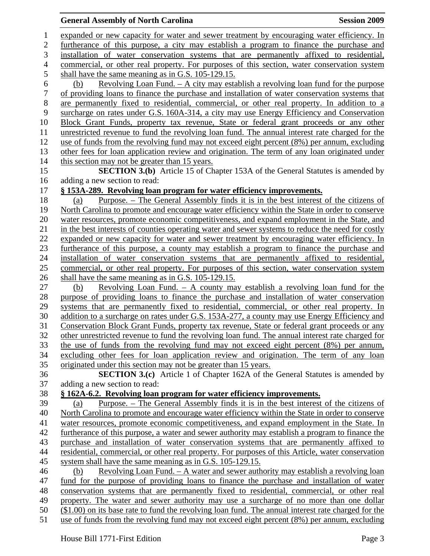**General Assembly of North Carolina Session 2009 Session 2009** 1 expanded or new capacity for water and sewer treatment by encouraging water efficiency. In 2 furtherance of this purpose, a city may establish a program to finance the purchase and 3 installation of water conservation systems that are permanently affixed to residential, 4 commercial, or other real property. For purposes of this section, water conservation system 5 shall have the same meaning as in G.S. 105-129.15. 6 (b) Revolving Loan Fund. – A city may establish a revolving loan fund for the purpose 7 of providing loans to finance the purchase and installation of water conservation systems that 8 are permanently fixed to residential, commercial, or other real property. In addition to a 9 surcharge on rates under G.S. 160A-314, a city may use Energy Efficiency and Conservation 10 Block Grant Funds, property tax revenue, State or federal grant proceeds or any other 11 unrestricted revenue to fund the revolving loan fund. The annual interest rate charged for the 12 use of funds from the revolving fund may not exceed eight percent (8%) per annum, excluding 13 other fees for loan application review and origination. The term of any loan originated under 14 this section may not be greater than 15 years. 15 **SECTION 3.(b)** Article 15 of Chapter 153A of the General Statutes is amended by 16 adding a new section to read: 17 **§ 153A-289. Revolving loan program for water efficiency improvements.** 18 (a) Purpose. – The General Assembly finds it is in the best interest of the citizens of 19 North Carolina to promote and encourage water efficiency within the State in order to conserve 20 water resources, promote economic competitiveness, and expand employment in the State, and 21 in the best interests of counties operating water and sewer systems to reduce the need for costly 22 expanded or new capacity for water and sewer treatment by encouraging water efficiency. In 23 furtherance of this purpose, a county may establish a program to finance the purchase and 24 installation of water conservation systems that are permanently affixed to residential, 25 commercial, or other real property. For purposes of this section, water conservation system 26 shall have the same meaning as in G.S. 105-129.15. 27 (b) Revolving Loan Fund. – A county may establish a revolving loan fund for the 28 purpose of providing loans to finance the purchase and installation of water conservation 29 systems that are permanently fixed to residential, commercial, or other real property. In 30 addition to a surcharge on rates under G.S. 153A-277, a county may use Energy Efficiency and 31 Conservation Block Grant Funds, property tax revenue, State or federal grant proceeds or any 32 other unrestricted revenue to fund the revolving loan fund. The annual interest rate charged for 33 the use of funds from the revolving fund may not exceed eight percent (8%) per annum, 34 excluding other fees for loan application review and origination. The term of any loan 35 originated under this section may not be greater than 15 years. 36 **SECTION 3.(c)** Article 1 of Chapter 162A of the General Statutes is amended by 37 adding a new section to read: 38 **§ 162A-6.2. Revolving loan program for water efficiency improvements.** 39 (a) Purpose. – The General Assembly finds it is in the best interest of the citizens of 40 North Carolina to promote and encourage water efficiency within the State in order to conserve 41 water resources, promote economic competitiveness, and expand employment in the State. In 42 furtherance of this purpose, a water and sewer authority may establish a program to finance the 43 purchase and installation of water conservation systems that are permanently affixed to 44 residential, commercial, or other real property. For purposes of this Article, water conservation 45 system shall have the same meaning as in G.S. 105-129.15. 46 (b) Revolving Loan Fund. – A water and sewer authority may establish a revolving loan 47 fund for the purpose of providing loans to finance the purchase and installation of water 48 conservation systems that are permanently fixed to residential, commercial, or other real 49 property. The water and sewer authority may use a surcharge of no more than one dollar 50 (\$1.00) on its base rate to fund the revolving loan fund. The annual interest rate charged for the 51 use of funds from the revolving fund may not exceed eight percent (8%) per annum, excluding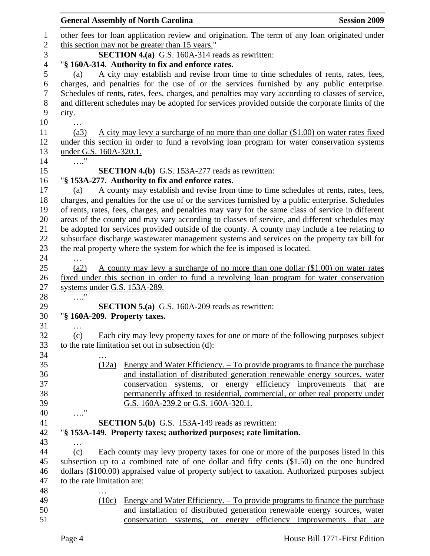|                  |                                                                                                           | <b>General Assembly of North Carolina</b>                                                         | <b>Session 2009</b>                       |  |  |
|------------------|-----------------------------------------------------------------------------------------------------------|---------------------------------------------------------------------------------------------------|-------------------------------------------|--|--|
| $\mathbf{1}$     |                                                                                                           | other fees for loan application review and origination. The term of any loan originated under     |                                           |  |  |
| $\boldsymbol{2}$ |                                                                                                           |                                                                                                   |                                           |  |  |
| 3                | this section may not be greater than 15 years."<br><b>SECTION 4.(a)</b> G.S. 160A-314 reads as rewritten: |                                                                                                   |                                           |  |  |
| $\overline{4}$   |                                                                                                           | "§ 160A-314. Authority to fix and enforce rates.                                                  |                                           |  |  |
| 5                | (a)                                                                                                       | A city may establish and revise from time to time schedules of rents, rates, fees,                |                                           |  |  |
| 6                |                                                                                                           | charges, and penalties for the use of or the services furnished by any public enterprise.         |                                           |  |  |
| $\boldsymbol{7}$ |                                                                                                           |                                                                                                   |                                           |  |  |
|                  |                                                                                                           | Schedules of rents, rates, fees, charges, and penalties may vary according to classes of service, |                                           |  |  |
| $8\,$            |                                                                                                           | and different schedules may be adopted for services provided outside the corporate limits of the  |                                           |  |  |
| 9                | city.                                                                                                     |                                                                                                   |                                           |  |  |
| 10               |                                                                                                           |                                                                                                   |                                           |  |  |
| 11               | (a3)                                                                                                      | A city may levy a surcharge of no more than one dollar (\$1.00) on water rates fixed              |                                           |  |  |
| 12               |                                                                                                           | under this section in order to fund a revolving loan program for water conservation systems       |                                           |  |  |
| 13               | under G.S. 160A-320.1.                                                                                    |                                                                                                   |                                           |  |  |
| 14               |                                                                                                           |                                                                                                   |                                           |  |  |
| 15               |                                                                                                           | <b>SECTION 4.(b)</b> G.S. 153A-277 reads as rewritten:                                            |                                           |  |  |
| 16               |                                                                                                           | "§ 153A-277. Authority to fix and enforce rates.                                                  |                                           |  |  |
| 17               | (a)                                                                                                       | A county may establish and revise from time to time schedules of rents, rates, fees,              |                                           |  |  |
| 18               |                                                                                                           | charges, and penalties for the use of or the services furnished by a public enterprise. Schedules |                                           |  |  |
| 19               |                                                                                                           | of rents, rates, fees, charges, and penalties may vary for the same class of service in different |                                           |  |  |
| 20               |                                                                                                           | areas of the county and may vary according to classes of service, and different schedules may     |                                           |  |  |
| 21<br>22         |                                                                                                           | be adopted for services provided outside of the county. A county may include a fee relating to    |                                           |  |  |
| 23               |                                                                                                           | subsurface discharge wastewater management systems and services on the property tax bill for      |                                           |  |  |
| 24               |                                                                                                           | the real property where the system for which the fee is imposed is located.                       |                                           |  |  |
| 25               | (a2)                                                                                                      | A county may levy a surcharge of no more than one dollar (\$1.00) on water rates                  |                                           |  |  |
| 26               |                                                                                                           | fixed under this section in order to fund a revolving loan program for water conservation         |                                           |  |  |
| 27               | systems under G.S. 153A-289.                                                                              |                                                                                                   |                                           |  |  |
| 28               | .                                                                                                         |                                                                                                   |                                           |  |  |
| 29               |                                                                                                           | <b>SECTION 5.(a)</b> G.S. 160A-209 reads as rewritten:                                            |                                           |  |  |
| 30               | "§ 160A-209. Property taxes.                                                                              |                                                                                                   |                                           |  |  |
| 31               | $\cdots$                                                                                                  |                                                                                                   |                                           |  |  |
| 32               | (c)                                                                                                       | Each city may levy property taxes for one or more of the following purposes subject               |                                           |  |  |
| 33               |                                                                                                           | to the rate limitation set out in subsection (d):                                                 |                                           |  |  |
| 34               |                                                                                                           |                                                                                                   |                                           |  |  |
| 35               | (12a)                                                                                                     | <u>Energy and Water Efficiency. – To provide programs to finance the purchase</u>                 |                                           |  |  |
| 36               |                                                                                                           | and installation of distributed generation renewable energy sources, water                        |                                           |  |  |
| 37               |                                                                                                           | conservation systems, or energy efficiency improvements that are                                  |                                           |  |  |
| 38               |                                                                                                           | permanently affixed to residential, commercial, or other real property under                      |                                           |  |  |
| 39               |                                                                                                           | G.S. 160A-239.2 or G.S. 160A-320.1.                                                               |                                           |  |  |
| 40               | $\ldots$ "                                                                                                |                                                                                                   |                                           |  |  |
| 41               |                                                                                                           | <b>SECTION 5.(b)</b> G.S. 153A-149 reads as rewritten:                                            |                                           |  |  |
| 42               |                                                                                                           | "§ 153A-149. Property taxes; authorized purposes; rate limitation.                                |                                           |  |  |
| 43               | $\cdots$                                                                                                  |                                                                                                   |                                           |  |  |
| 44               | (c)                                                                                                       | Each county may levy property taxes for one or more of the purposes listed in this                |                                           |  |  |
| 45               |                                                                                                           | subsection up to a combined rate of one dollar and fifty cents $(\$1.50)$ on the one hundred      |                                           |  |  |
| 46               |                                                                                                           | dollars (\$100.00) appraised value of property subject to taxation. Authorized purposes subject   |                                           |  |  |
| 47               | to the rate limitation are:                                                                               |                                                                                                   |                                           |  |  |
| 48               |                                                                                                           |                                                                                                   |                                           |  |  |
| 49               | (10c)                                                                                                     | <u>Energy and Water Efficiency. – To provide programs to finance the purchase</u>                 |                                           |  |  |
| 50               |                                                                                                           | and installation of distributed generation renewable energy sources, water                        |                                           |  |  |
| 51               |                                                                                                           | conservation<br>systems,<br>or energy                                                             | efficiency<br>improvements<br>that<br>are |  |  |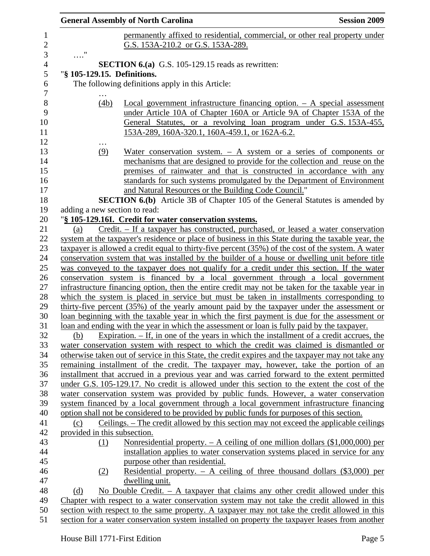| <b>Session 2009</b><br><b>General Assembly of North Carolina</b>                              |                                                                                                                                                                                             |  |  |
|-----------------------------------------------------------------------------------------------|---------------------------------------------------------------------------------------------------------------------------------------------------------------------------------------------|--|--|
|                                                                                               | permanently affixed to residential, commercial, or other real property under                                                                                                                |  |  |
|                                                                                               | G.S. 153A-210.2 or G.S. 153A-289.                                                                                                                                                           |  |  |
| $\ldots$ "                                                                                    |                                                                                                                                                                                             |  |  |
|                                                                                               | <b>SECTION 6.(a)</b> G.S. 105-129.15 reads as rewritten:                                                                                                                                    |  |  |
|                                                                                               | "§ 105-129.15. Definitions.                                                                                                                                                                 |  |  |
|                                                                                               | The following definitions apply in this Article:                                                                                                                                            |  |  |
|                                                                                               |                                                                                                                                                                                             |  |  |
|                                                                                               | (4b)<br>Local government infrastructure financing option. $- A$ special assessment                                                                                                          |  |  |
|                                                                                               | under Article 10A of Chapter 160A or Article 9A of Chapter 153A of the                                                                                                                      |  |  |
|                                                                                               | General Statutes, or a revolving loan program under G.S. 153A-455,                                                                                                                          |  |  |
|                                                                                               | 153A-289, 160A-320.1, 160A-459.1, or 162A-6.2.                                                                                                                                              |  |  |
|                                                                                               |                                                                                                                                                                                             |  |  |
| (9)                                                                                           | Water conservation system. $-$ A system or a series of components or                                                                                                                        |  |  |
|                                                                                               | mechanisms that are designed to provide for the collection and reuse on the                                                                                                                 |  |  |
|                                                                                               | premises of rainwater and that is constructed in accordance with any                                                                                                                        |  |  |
|                                                                                               | standards for such systems promulgated by the Department of Environment                                                                                                                     |  |  |
|                                                                                               | and Natural Resources or the Building Code Council."<br><b>SECTION 6.(b)</b> Article 3B of Chapter 105 of the General Statutes is amended by                                                |  |  |
|                                                                                               | adding a new section to read:                                                                                                                                                               |  |  |
|                                                                                               | "§ 105-129.16I. Credit for water conservation systems.                                                                                                                                      |  |  |
| (a)                                                                                           | Credit. - If a taxpayer has constructed, purchased, or leased a water conservation                                                                                                          |  |  |
|                                                                                               | system at the taxpayer's residence or place of business in this State during the taxable year, the                                                                                          |  |  |
|                                                                                               | taxpayer is allowed a credit equal to thirty-five percent (35%) of the cost of the system. A water                                                                                          |  |  |
|                                                                                               | conservation system that was installed by the builder of a house or dwelling unit before title                                                                                              |  |  |
|                                                                                               | was conveyed to the taxpayer does not qualify for a credit under this section. If the water                                                                                                 |  |  |
| conservation system is financed by a local government through a local government              |                                                                                                                                                                                             |  |  |
|                                                                                               | infrastructure financing option, then the entire credit may not be taken for the taxable year in                                                                                            |  |  |
| which the system is placed in service but must be taken in installments corresponding to      |                                                                                                                                                                                             |  |  |
| thirty-five percent (35%) of the yearly amount paid by the taxpayer under the assessment or   |                                                                                                                                                                                             |  |  |
| loan beginning with the taxable year in which the first payment is due for the assessment or  |                                                                                                                                                                                             |  |  |
| loan and ending with the year in which the assessment or loan is fully paid by the taxpayer.  |                                                                                                                                                                                             |  |  |
| (b)                                                                                           | Expiration. $-$ If, in one of the years in which the installment of a credit accrues, the                                                                                                   |  |  |
|                                                                                               | water conservation system with respect to which the credit was claimed is dismantled or                                                                                                     |  |  |
|                                                                                               | otherwise taken out of service in this State, the credit expires and the taxpayer may not take any                                                                                          |  |  |
|                                                                                               | remaining installment of the credit. The taxpayer may, however, take the portion of an                                                                                                      |  |  |
|                                                                                               | installment that accrued in a previous year and was carried forward to the extent permitted<br>under G.S. 105-129.17. No credit is allowed under this section to the extent the cost of the |  |  |
|                                                                                               | water conservation system was provided by public funds. However, a water conservation                                                                                                       |  |  |
|                                                                                               | system financed by a local government through a local government infrastructure financing                                                                                                   |  |  |
|                                                                                               | option shall not be considered to be provided by public funds for purposes of this section.                                                                                                 |  |  |
| (c)                                                                                           | Ceilings. – The credit allowed by this section may not exceed the applicable ceilings                                                                                                       |  |  |
|                                                                                               | provided in this subsection.                                                                                                                                                                |  |  |
| (1)                                                                                           | <u>Nonresidential property. – A ceiling of one million dollars <math>(\\$1,000,000)</math> per</u>                                                                                          |  |  |
|                                                                                               | installation applies to water conservation systems placed in service for any                                                                                                                |  |  |
|                                                                                               | purpose other than residential.                                                                                                                                                             |  |  |
| (2)                                                                                           | Residential property. $-$ A ceiling of three thousand dollars (\$3,000) per                                                                                                                 |  |  |
|                                                                                               | dwelling unit.                                                                                                                                                                              |  |  |
| (d)                                                                                           | No Double Credit. $- A$ taxpayer that claims any other credit allowed under this                                                                                                            |  |  |
|                                                                                               | Chapter with respect to a water conservation system may not take the credit allowed in this                                                                                                 |  |  |
| section with respect to the same property. A taxpayer may not take the credit allowed in this |                                                                                                                                                                                             |  |  |
|                                                                                               | section for a water conservation system installed on property the taxpayer leases from another                                                                                              |  |  |